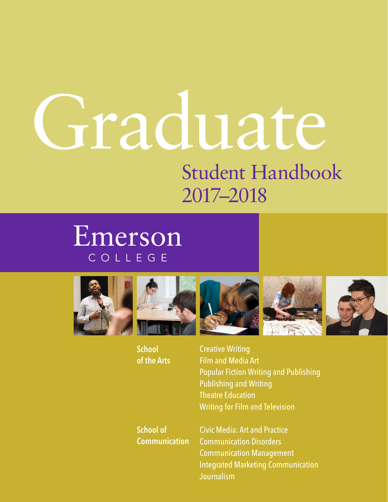# Student Handbook 2017–2018 Graduate

# Emerson COLLEGE











Creative Writing Film and Media Art Popular Fiction Writing and Publishing Publishing and Writing Theatre Education Writing for Film and Television

**School of Communication**

Civic Media: Art and Practice Communication Disorders Communication Management Integrated Marketing Communication Journalism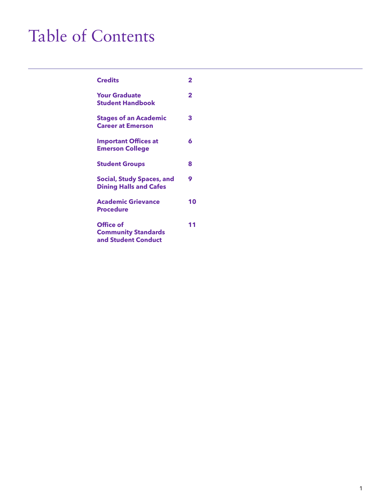## Table of Contents

| <b>Credits</b>                                                    | 2  |
|-------------------------------------------------------------------|----|
| <b>Your Graduate</b><br><b>Student Handbook</b>                   | 2  |
| <b>Stages of an Academic</b><br><b>Career at Emerson</b>          | 3  |
| <b>Important Offices at</b><br><b>Emerson College</b>             | 6  |
| <b>Student Groups</b>                                             | 8  |
| <b>Social, Study Spaces, and</b><br><b>Dining Halls and Cafes</b> | 9  |
| <b>Academic Grievance</b><br><b>Procedure</b>                     | 10 |
| Office of<br><b>Community Standards</b><br>and Student Conduct    | 11 |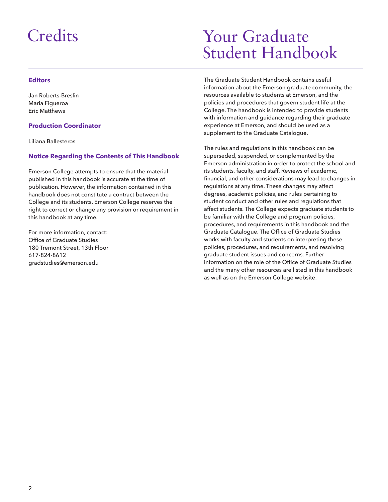### **Credits**

#### **Editors**

Jan Roberts-Breslin Maria Figueroa Eric Matthews

#### **Production Coordinator**

Liliana Ballesteros

#### **Notice Regarding the Contents of This Handbook**

Emerson College attempts to ensure that the material published in this handbook is accurate at the time of publication. However, the information contained in this handbook does not constitute a contract between the College and its students. Emerson College reserves the right to correct or change any provision or requirement in this handbook at any time.

For more information, contact: Office of Graduate Studies 180 Tremont Street, 13th Floor 617-824-8612 gradstudies@emerson.edu

### Your Graduate Student Handbook

The Graduate Student Handbook contains useful information about the Emerson graduate community, the resources available to students at Emerson, and the policies and procedures that govern student life at the College. The handbook is intended to provide students with information and guidance regarding their graduate experience at Emerson, and should be used as a supplement to the Graduate Catalogue.

The rules and regulations in this handbook can be superseded, suspended, or complemented by the Emerson administration in order to protect the school and its students, faculty, and staff. Reviews of academic, financial, and other considerations may lead to changes in regulations at any time. These changes may affect degrees, academic policies, and rules pertaining to student conduct and other rules and regulations that affect students. The College expects graduate students to be familiar with the College and program policies, procedures, and requirements in this handbook and the Graduate Catalogue. The Office of Graduate Studies works with faculty and students on interpreting these policies, procedures, and requirements, and resolving graduate student issues and concerns. Further information on the role of the Office of Graduate Studies and the many other resources are listed in this handbook as well as on the Emerson College website.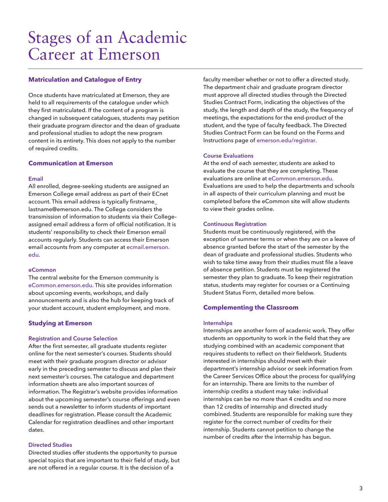### Stages of an Academic Career at Emerson

#### **Matriculation and Catalogue of Entry**

Once students have matriculated at Emerson, they are held to all requirements of the catalogue under which they first matriculated. If the content of a program is changed in subsequent catalogues, students may petition their graduate program director and the dean of graduate and professional studies to adopt the new program content in its entirety. This does not apply to the number of required credits.

#### **Communication at Emerson**

#### **Email**

All enrolled, degree-seeking students are assigned an Emerson College email address as part of their ECnet account. This email address is typically firstname\_ lastname@emerson.edu. The College considers the transmission of information to students via their College– assigned email address a form of official notification. It is students' responsibility to check their Emerson email accounts regularly. Students can access their Emerson email accounts from any computer at ecmail.emerson. edu.

#### **eCommon**

The central website for the Emerson community is eCommon.emerson.edu. This site provides information about upcoming events, workshops, and daily announcements and is also the hub for keeping track of your student account, student employment, and more.

#### **Studying at Emerson**

#### **Registration and Course Selection**

After the first semester, all graduate students register online for the next semester's courses. Students should meet with their graduate program director or advisor early in the preceding semester to discuss and plan their next semester's courses. The catalogue and department information sheets are also important sources of information. The Registrar's website provides information about the upcoming semester's course offerings and even sends out a newsletter to inform students of important deadlines for registration. Please consult the Academic Calendar for registration deadlines and other important dates.

#### **Directed Studies**

Directed studies offer students the opportunity to pursue special topics that are important to their field of study, but are not offered in a regular course. It is the decision of a

faculty member whether or not to offer a directed study. The department chair and graduate program director must approve all directed studies through the Directed Studies Contract Form, indicating the objectives of the study, the length and depth of the study, the frequency of meetings, the expectations for the end-product of the student, and the type of faculty feedback. The Directed Studies Contract Form can be found on the Forms and Instructions page of emerson.edu/registrar.

#### **Course Evaluations**

At the end of each semester, students are asked to evaluate the course that they are completing. These evaluations are online at eCommon.emerson.edu. Evaluations are used to help the departments and schools in all aspects of their curriculum planning and must be completed before the eCommon site will allow students to view their grades online.

#### **Continuous Registration**

Students must be continuously registered, with the exception of summer terms or when they are on a leave of absence granted before the start of the semester by the dean of graduate and professional studies. Students who wish to take time away from their studies must file a leave of absence petition. Students must be registered the semester they plan to graduate. To keep their registration status, students may register for courses or a Continuing Student Status Form, detailed more below.

#### **Complementing the Classroom**

#### **Internships**

Internships are another form of academic work. They offer students an opportunity to work in the field that they are studying combined with an academic component that requires students to reflect on their fieldwork. Students interested in internships should meet with their department's internship advisor or seek information from the Career Services Office about the process for qualifying for an internship. There are limits to the number of internship credits a student may take: individual internships can be no more than 4 credits and no more than 12 credits of internship and directed study combined. Students are responsible for making sure they register for the correct number of credits for their internship. Students cannot petition to change the number of credits after the internship has begun.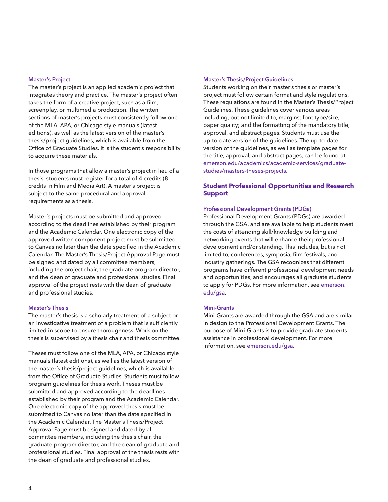#### **Master's Project**

The master's project is an applied academic project that integrates theory and practice. The master's project often takes the form of a creative project, such as a film, screenplay, or multimedia production. The written sections of master's projects must consistently follow one of the MLA, APA, or Chicago style manuals (latest editions), as well as the latest version of the master's thesis/project guidelines, which is available from the Office of Graduate Studies. It is the student's responsibility to acquire these materials.

In those programs that allow a master's project in lieu of a thesis, students must register for a total of 4 credits (8 credits in Film and Media Art). A master's project is subject to the same procedural and approval requirements as a thesis.

Master's projects must be submitted and approved according to the deadlines established by their program and the Academic Calendar. One electronic copy of the approved written component project must be submitted to Canvas no later than the date specified in the Academic Calendar. The Master's Thesis/Project Approval Page must be signed and dated by all committee members, including the project chair, the graduate program director, and the dean of graduate and professional studies. Final approval of the project rests with the dean of graduate and professional studies.

#### **Master's Thesis**

The master's thesis is a scholarly treatment of a subject or an investigative treatment of a problem that is sufficiently limited in scope to ensure thoroughness. Work on the thesis is supervised by a thesis chair and thesis committee.

Theses must follow one of the MLA, APA, or Chicago style manuals (latest editions), as well as the latest version of the master's thesis/project guidelines, which is available from the Office of Graduate Studies. Students must follow program guidelines for thesis work. Theses must be submitted and approved according to the deadlines established by their program and the Academic Calendar. One electronic copy of the approved thesis must be submitted to Canvas no later than the date specified in the Academic Calendar. The Master's Thesis/Project Approval Page must be signed and dated by all committee members, including the thesis chair, the graduate program director, and the dean of graduate and professional studies. Final approval of the thesis rests with the dean of graduate and professional studies.

#### **Master's Thesis/Project Guidelines**

Students working on their master's thesis or master's project must follow certain format and style regulations. These regulations are found in the Master's Thesis/Project Guidelines. These guidelines cover various areas including, but not limited to, margins; font type/size; paper quality; and the formatting of the mandatory title, approval, and abstract pages. Students must use the up-to-date version of the guidelines. The up-to-date version of the guidelines, as well as template pages for the title, approval, and abstract pages, can be found at emerson.edu/academics/academic-services/graduatestudies/masters-theses-projects.

#### **Student Professional Opportunities and Research Support**

#### **Professional Development Grants (PDGs)**

Professional Development Grants (PDGs) are awarded through the GSA, and are available to help students meet the costs of attending skill/knowledge building and networking events that will enhance their professional development and/or standing. This includes, but is not limited to, conferences, symposia, film festivals, and industry gatherings. The GSA recognizes that different programs have different professional development needs and opportunities, and encourages all graduate students to apply for PDGs. For more information, see emerson. edu/gsa.

#### **Mini-Grants**

Mini-Grants are awarded through the GSA and are similar in design to the Professional Development Grants. The purpose of Mini-Grants is to provide graduate students assistance in professional development. For more information, see emerson.edu/gsa.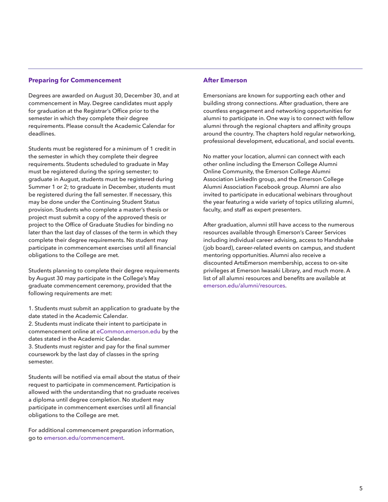#### **Preparing for Commencement**

Degrees are awarded on August 30, December 30, and at commencement in May. Degree candidates must apply for graduation at the Registrar's Office prior to the semester in which they complete their degree requirements. Please consult the Academic Calendar for deadlines.

Students must be registered for a minimum of 1 credit in the semester in which they complete their degree requirements. Students scheduled to graduate in May must be registered during the spring semester; to graduate in August, students must be registered during Summer 1 or 2; to graduate in December, students must be registered during the fall semester. If necessary, this may be done under the Continuing Student Status provision. Students who complete a master's thesis or project must submit a copy of the approved thesis or project to the Office of Graduate Studies for binding no later than the last day of classes of the term in which they complete their degree requirements. No student may participate in commencement exercises until all financial obligations to the College are met.

Students planning to complete their degree requirements by August 30 may participate in the College's May graduate commencement ceremony, provided that the following requirements are met:

1. Students must submit an application to graduate by the date stated in the Academic Calendar.

2. Students must indicate their intent to participate in commencement online at eCommon.emerson.edu by the dates stated in the Academic Calendar.

3. Students must register and pay for the final summer coursework by the last day of classes in the spring semester.

Students will be notified via email about the status of their request to participate in commencement. Participation is allowed with the understanding that no graduate receives a diploma until degree completion. No student may participate in commencement exercises until all financial obligations to the College are met.

For additional commencement preparation information, go to emerson.edu/commencement.

#### **After Emerson**

Emersonians are known for supporting each other and building strong connections. After graduation, there are countless engagement and networking opportunities for alumni to participate in. One way is to connect with fellow alumni through the regional chapters and affinity groups around the country. The chapters hold regular networking, professional development, educational, and social events.

No matter your location, alumni can connect with each other online including the Emerson College Alumni Online Community, the Emerson College Alumni Association LinkedIn group, and the Emerson College Alumni Association Facebook group. Alumni are also invited to participate in educational webinars throughout the year featuring a wide variety of topics utilizing alumni, faculty, and staff as expert presenters.

After graduation, alumni still have access to the numerous resources available through Emerson's Career Services including individual career advising, access to Handshake (job board), career-related events on campus, and student mentoring opportunities. Alumni also receive a discounted ArtsEmerson membership, access to on-site privileges at Emerson Iwasaki Library, and much more. A list of all alumni resources and benefits are available at emerson.edu/alumni/resources.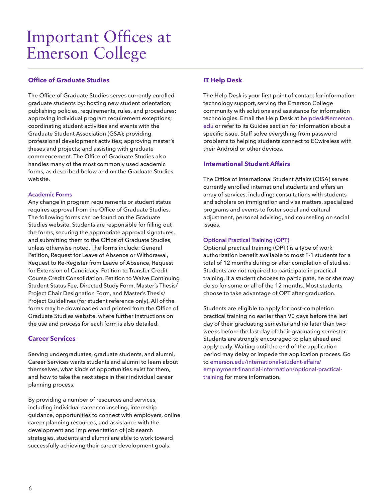### Important Offices at Emerson College

#### **Office of Graduate Studies**

The Office of Graduate Studies serves currently enrolled graduate students by: hosting new student orientation; publishing policies, requirements, rules, and procedures; approving individual program requirement exceptions; coordinating student activities and events with the Graduate Student Association (GSA); providing professional development activities; approving master's theses and projects; and assisting with graduate commencement. The Office of Graduate Studies also handles many of the most commonly used academic forms, as described below and on the Graduate Studies website.

#### **Academic Forms**

Any change in program requirements or student status requires approval from the Office of Graduate Studies. The following forms can be found on the Graduate Studies website. Students are responsible for filling out the forms, securing the appropriate approval signatures, and submitting them to the Office of Graduate Studies, unless otherwise noted. The forms include: General Petition, Request for Leave of Absence or Withdrawal, Request to Re-Register from Leave of Absence, Request for Extension of Candidacy, Petition to Transfer Credit, Course Credit Consolidation, Petition to Waive Continuing Student Status Fee, Directed Study Form, Master's Thesis/ Project Chair Designation Form, and Master's Thesis/ Project Guidelines (for student reference only). All of the forms may be downloaded and printed from the Office of Graduate Studies website, where further instructions on the use and process for each form is also detailed.

#### **Career Services**

Serving undergraduates, graduate students, and alumni, Career Services wants students and alumni to learn about themselves, what kinds of opportunities exist for them, and how to take the next steps in their individual career planning process.

By providing a number of resources and services, including individual career counseling, internship guidance, opportunities to connect with employers, online career planning resources, and assistance with the development and implementation of job search strategies, students and alumni are able to work toward successfully achieving their career development goals.

#### **IT Help Desk**

The Help Desk is your first point of contact for information technology support, serving the Emerson College community with solutions and assistance for information technologies. Email the Help Desk at helpdesk@emerson. edu or refer to its Guides section for information about a specific issue. Staff solve everything from password problems to helping students connect to ECwireless with their Android or other devices.

#### **International Student Affairs**

The Office of International Student Affairs (OISA) serves currently enrolled international students and offers an array of services, including: consultations with students and scholars on immigration and visa matters, specialized programs and events to foster social and cultural adjustment, personal advising, and counseling on social issues.

#### **Optional Practical Training (OPT)**

Optional practical training (OPT) is a type of work authorization benefit available to most F-1 students for a total of 12 months during or after completion of studies. Students are not required to participate in practical training. If a student chooses to participate, he or she may do so for some or all of the 12 months. Most students choose to take advantage of OPT after graduation.

Students are eligible to apply for post–completion practical training no earlier than 90 days before the last day of their graduating semester and no later than two weeks before the last day of their graduating semester. Students are strongly encouraged to plan ahead and apply early. Waiting until the end of the application period may delay or impede the application process. Go to emerson.edu/international-student-affairs/ employment-financial-information/optional-practicaltraining for more information.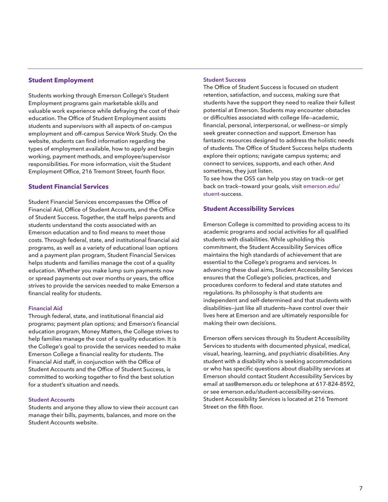#### **Student Employment**

Students working through Emerson College's Student Employment programs gain marketable skills and valuable work experience while defraying the cost of their education. The Office of Student Employment assists students and supervisors with all aspects of on-campus employment and off–campus Service Work Study. On the website, students can find information regarding the types of employment available, how to apply and begin working, payment methods, and employee/supervisor responsibilities. For more information, visit the Student Employment Office, 216 Tremont Street, fourth floor.

#### **Student Financial Services**

Student Financial Services encompasses the Office of Financial Aid, Office of Student Accounts, and the Office of Student Success. Together, the staff helps parents and students understand the costs associated with an Emerson education and to find means to meet those costs. Through federal, state, and institutional financial aid programs, as well as a variety of educational loan options and a payment plan program, Student Financial Services helps students and families manage the cost of a quality education. Whether you make lump sum payments now or spread payments out over months or years, the office strives to provide the services needed to make Emerson a financial reality for students.

#### **Financial Aid**

Through federal, state, and institutional financial aid programs; payment plan options; and Emerson's financial education program, Money Matters, the College strives to help families manage the cost of a quality education. It is the College's goal to provide the services needed to make Emerson College a financial reality for students. The Financial Aid staff, in conjunction with the Office of Student Accounts and the Office of Student Success, is committed to working together to find the best solution for a student's situation and needs.

#### **Student Accounts**

Students and anyone they allow to view their account can manage their bills, payments, balances, and more on the Student Accounts website.

#### **Student Success**

The Office of Student Success is focused on student retention, satisfaction, and success, making sure that students have the support they need to realize their fullest potential at Emerson. Students may encounter obstacles or difficulties associated with college life—academic, financial, personal, interpersonal, or wellness—or simply seek greater connection and support. Emerson has fantastic resources designed to address the holistic needs of students. The Office of Student Success helps students explore their options; navigate campus systems; and connect to services, supports, and each other. And sometimes, they just listen.

To see how the OSS can help you stay on track—or get back on track—toward your goals, visit emerson.edu/ stuent-success.

#### **Student Accessibility Services**

Emerson College is committed to providing access to its academic programs and social activities for all qualified students with disabilities. While upholding this commitment, the Student Accessibility Services office maintains the high standards of achievement that are essential to the College's programs and services. In advancing these dual aims, Student Accessibility Services ensures that the College's policies, practices, and procedures conform to federal and state statutes and regulations. Its philosophy is that students are independent and self-determined and that students with disabilities—just like all students—have control over their lives here at Emerson and are ultimately responsible for making their own decisions.

Emerson offers services through its Student Accessibility Services to students with documented physical, medical, visual, hearing, learning, and psychiatric disabilities. Any student with a disability who is seeking accommodations or who has specific questions about disability services at Emerson should contact Student Accessibility Services by email at sas@emerson.edu or telephone at 617-824-8592, or see emerson.edu/student-accessibility-services. Student Accessibility Services is located at 216 Tremont Street on the fifth floor.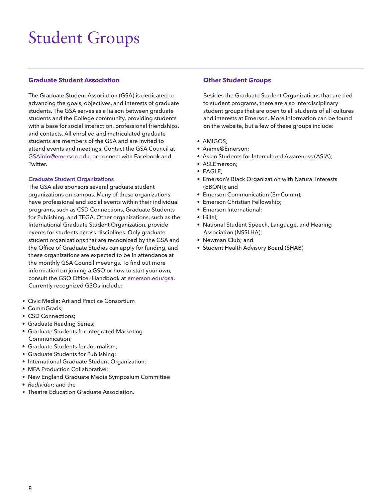### Student Groups

#### **Graduate Student Association**

The Graduate Student Association (GSA) is dedicated to advancing the goals, objectives, and interests of graduate students. The GSA serves as a liaison between graduate students and the College community, providing students with a base for social interaction, professional friendships, and contacts. All enrolled and matriculated graduate students are members of the GSA and are invited to attend events and meetings. Contact the GSA Council at GSAInfo@emerson.edu, or connect with Facebook and Twitter.

#### **Graduate Student Organizations**

The GSA also sponsors several graduate student organizations on campus. Many of these organizations have professional and social events within their individual programs, such as CSD Connections, Graduate Students for Publishing, and TEGA. Other organizations, such as the International Graduate Student Organization, provide events for students across disciplines. Only graduate student organizations that are recognized by the GSA and the Office of Graduate Studies can apply for funding, and these organizations are expected to be in attendance at the monthly GSA Council meetings. To find out more information on joining a GSO or how to start your own, consult the GSO Officer Handbook at emerson.edu/gsa. Currently recognized GSOs include:

- Civic Media: Art and Practice Consortium
- CommGrads;
- CSD Connections;
- Graduate Reading Series;
- Graduate Students for Integrated Marketing Communication;
- Graduate Students for Journalism;
- Graduate Students for Publishing;
- International Graduate Student Organization;
- MFA Production Collaborative;
- New England Graduate Media Symposium Committee
- Redivider: and the
- Theatre Education Graduate Association.

#### **Other Student Groups**

Besides the Graduate Student Organizations that are tied to student programs, there are also interdisciplinary student groups that are open to all students of all cultures and interests at Emerson. More information can be found on the website, but a few of these groups include:

- AMIGOS;
- Anime@Emerson;
- Asian Students for Intercultural Awareness (ASIA);
- ASLEmerson;
- EAGLE;
- Emerson's Black Organization with Natural Interests (EBONI); and
- Emerson Communication (EmComm);
- Emerson Christian Fellowship;
- Emerson International;
- Hillel;
- National Student Speech, Language, and Hearing Association (NSSLHA);
- Newman Club; and
- Student Health Advisory Board (SHAB)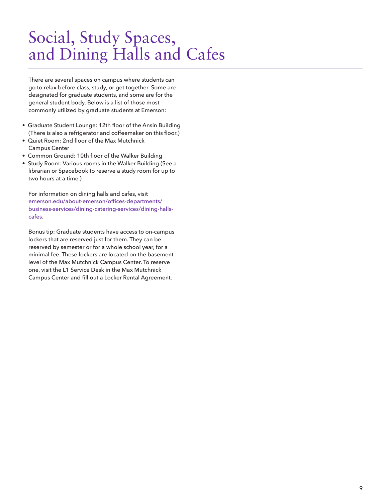### Social, Study Spaces, and Dining Halls and Cafes

There are several spaces on campus where students can go to relax before class, study, or get together. Some are designated for graduate students, and some are for the general student body. Below is a list of those most commonly utilized by graduate students at Emerson:

- Graduate Student Lounge: 12th floor of the Ansin Building (There is also a refrigerator and coffeemaker on this floor.)
- Quiet Room: 2nd floor of the Max Mutchnick Campus Center
- Common Ground: 10th floor of the Walker Building
- Study Room: Various rooms in the Walker Building (See a librarian or Spacebook to reserve a study room for up to two hours at a time.)

For information on dining halls and cafes, visit emerson.edu/about-emerson/offices-departments/ business-services/dining-catering-services/dining-hallscafes.

Bonus tip: Graduate students have access to on-campus lockers that are reserved just for them. They can be reserved by semester or for a whole school year, for a minimal fee. These lockers are located on the basement level of the Max Mutchnick Campus Center. To reserve one, visit the L1 Service Desk in the Max Mutchnick Campus Center and fill out a Locker Rental Agreement.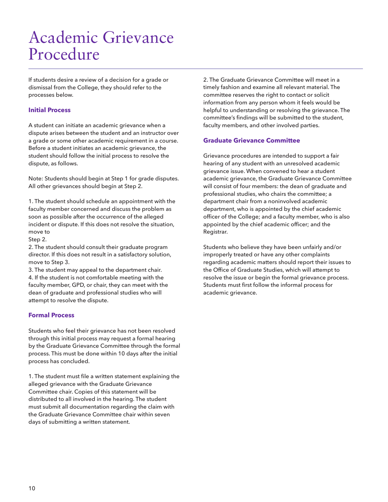### Academic Grievance Procedure

If students desire a review of a decision for a grade or dismissal from the College, they should refer to the processes below.

#### **Initial Process**

A student can initiate an academic grievance when a dispute arises between the student and an instructor over a grade or some other academic requirement in a course. Before a student initiates an academic grievance, the student should follow the initial process to resolve the dispute, as follows.

Note: Students should begin at Step 1 for grade disputes. All other grievances should begin at Step 2.

1. The student should schedule an appointment with the faculty member concerned and discuss the problem as soon as possible after the occurrence of the alleged incident or dispute. If this does not resolve the situation, move to

Step 2.

2. The student should consult their graduate program director. If this does not result in a satisfactory solution, move to Step 3.

3. The student may appeal to the department chair. 4. If the student is not comfortable meeting with the faculty member, GPD, or chair, they can meet with the dean of graduate and professional studies who will attempt to resolve the dispute.

#### **Formal Process**

Students who feel their grievance has not been resolved through this initial process may request a formal hearing by the Graduate Grievance Committee through the formal process. This must be done within 10 days after the initial process has concluded.

1. The student must file a written statement explaining the alleged grievance with the Graduate Grievance Committee chair. Copies of this statement will be distributed to all involved in the hearing. The student must submit all documentation regarding the claim with the Graduate Grievance Committee chair within seven days of submitting a written statement.

2. The Graduate Grievance Committee will meet in a timely fashion and examine all relevant material. The committee reserves the right to contact or solicit information from any person whom it feels would be helpful to understanding or resolving the grievance. The committee's findings will be submitted to the student, faculty members, and other involved parties.

#### **Graduate Grievance Committee**

Grievance procedures are intended to support a fair hearing of any student with an unresolved academic grievance issue. When convened to hear a student academic grievance, the Graduate Grievance Committee will consist of four members: the dean of graduate and professional studies, who chairs the committee; a department chair from a noninvolved academic department, who is appointed by the chief academic officer of the College; and a faculty member, who is also appointed by the chief academic officer; and the Registrar.

Students who believe they have been unfairly and/or improperly treated or have any other complaints regarding academic matters should report their issues to the Office of Graduate Studies, which will attempt to resolve the issue or begin the formal grievance process. Students must first follow the informal process for academic grievance.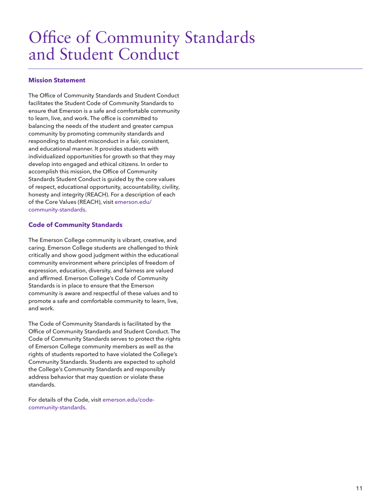### Office of Community Standards and Student Conduct

#### **Mission Statement**

The Office of Community Standards and Student Conduct facilitates the Student Code of Community Standards to ensure that Emerson is a safe and comfortable community to learn, live, and work. The office is committed to balancing the needs of the student and greater campus community by promoting community standards and responding to student misconduct in a fair, consistent, and educational manner. It provides students with individualized opportunities for growth so that they may develop into engaged and ethical citizens. In order to accomplish this mission, the Office of Community Standards Student Conduct is guided by the core values of respect, educational opportunity, accountability, civility, honesty and integrity (REACH). For a description of each of the Core Values (REACH), visit emerson.edu/ community-standards.

#### **Code of Community Standards**

The Emerson College community is vibrant, creative, and caring. Emerson College students are challenged to think critically and show good judgment within the educational community environment where principles of freedom of expression, education, diversity, and fairness are valued and affirmed. Emerson College's Code of Community Standards is in place to ensure that the Emerson community is aware and respectful of these values and to promote a safe and comfortable community to learn, live, and work.

The Code of Community Standards is facilitated by the Office of Community Standards and Student Conduct. The Code of Community Standards serves to protect the rights of Emerson College community members as well as the rights of students reported to have violated the College's Community Standards. Students are expected to uphold the College's Community Standards and responsibly address behavior that may question or violate these standards.

For details of the Code, visit emerson.edu/codecommunity-standards.